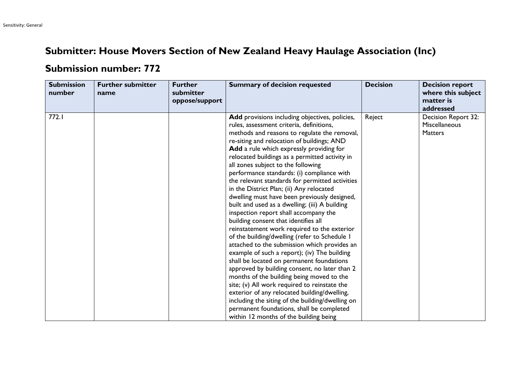## **Submitter: House Movers Section of New Zealand Heavy Haulage Association (Inc)**

## **Submission number: 772**

| <b>Submission</b><br>number | <b>Further submitter</b><br>name | <b>Further</b><br>submitter<br>oppose/support | <b>Summary of decision requested</b>                                                                                                                                                                                                                                                                                                                                                                                                                                                                                                                                                                                                                                                                                                                                                                                                                                                                                                                                                                                                                                                                                                                                                                                                               | <b>Decision</b> | <b>Decision report</b><br>where this subject<br>matter is<br>addressed |
|-----------------------------|----------------------------------|-----------------------------------------------|----------------------------------------------------------------------------------------------------------------------------------------------------------------------------------------------------------------------------------------------------------------------------------------------------------------------------------------------------------------------------------------------------------------------------------------------------------------------------------------------------------------------------------------------------------------------------------------------------------------------------------------------------------------------------------------------------------------------------------------------------------------------------------------------------------------------------------------------------------------------------------------------------------------------------------------------------------------------------------------------------------------------------------------------------------------------------------------------------------------------------------------------------------------------------------------------------------------------------------------------------|-----------------|------------------------------------------------------------------------|
| 772.1                       |                                  |                                               | Add provisions including objectives, policies,<br>rules, assessment criteria, definitions,<br>methods and reasons to regulate the removal,<br>re-siting and relocation of buildings; AND<br>Add a rule which expressly providing for<br>relocated buildings as a permitted activity in<br>all zones subject to the following<br>performance standards: (i) compliance with<br>the relevant standards for permitted activities<br>in the District Plan; (ii) Any relocated<br>dwelling must have been previously designed,<br>built and used as a dwelling; (iii) A building<br>inspection report shall accompany the<br>building consent that identifies all<br>reinstatement work required to the exterior<br>of the building/dwelling (refer to Schedule I<br>attached to the submission which provides an<br>example of such a report); (iv) The building<br>shall be located on permanent foundations<br>approved by building consent, no later than 2<br>months of the building being moved to the<br>site; (v) All work required to reinstate the<br>exterior of any relocated building/dwelling,<br>including the siting of the building/dwelling on<br>permanent foundations, shall be completed<br>within 12 months of the building being | Reject          | Decision Report 32:<br><b>Miscellaneous</b><br><b>Matters</b>          |